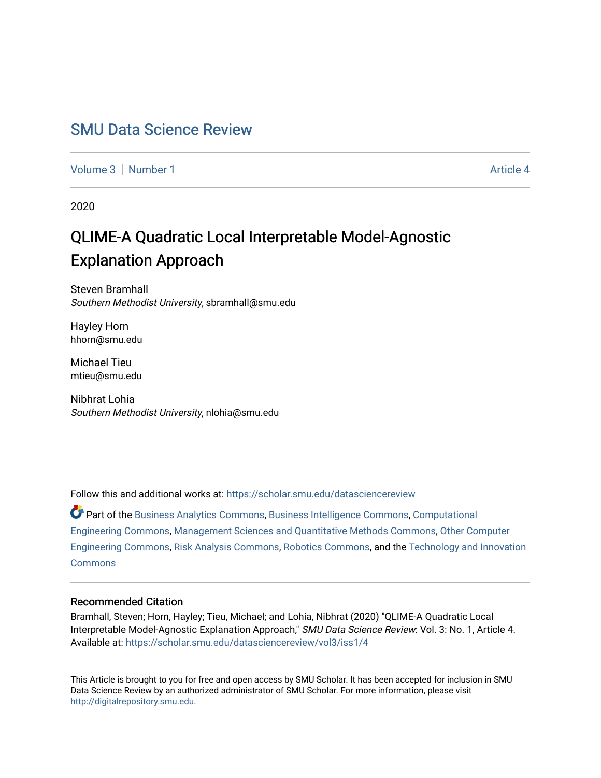# [SMU Data Science Review](https://scholar.smu.edu/datasciencereview)

[Volume 3](https://scholar.smu.edu/datasciencereview/vol3) | [Number 1](https://scholar.smu.edu/datasciencereview/vol3/iss1) Article 4

2020

# QLIME-A Quadratic Local Interpretable Model-Agnostic Explanation Approach

Steven Bramhall Southern Methodist University, sbramhall@smu.edu

Hayley Horn hhorn@smu.edu

Michael Tieu mtieu@smu.edu

Nibhrat Lohia Southern Methodist University, nlohia@smu.edu

Follow this and additional works at: [https://scholar.smu.edu/datasciencereview](https://scholar.smu.edu/datasciencereview?utm_source=scholar.smu.edu%2Fdatasciencereview%2Fvol3%2Fiss1%2F4&utm_medium=PDF&utm_campaign=PDFCoverPages)

Part of the [Business Analytics Commons](http://network.bepress.com/hgg/discipline/1398?utm_source=scholar.smu.edu%2Fdatasciencereview%2Fvol3%2Fiss1%2F4&utm_medium=PDF&utm_campaign=PDFCoverPages), [Business Intelligence Commons](http://network.bepress.com/hgg/discipline/1326?utm_source=scholar.smu.edu%2Fdatasciencereview%2Fvol3%2Fiss1%2F4&utm_medium=PDF&utm_campaign=PDFCoverPages), [Computational](http://network.bepress.com/hgg/discipline/311?utm_source=scholar.smu.edu%2Fdatasciencereview%2Fvol3%2Fiss1%2F4&utm_medium=PDF&utm_campaign=PDFCoverPages)  [Engineering Commons,](http://network.bepress.com/hgg/discipline/311?utm_source=scholar.smu.edu%2Fdatasciencereview%2Fvol3%2Fiss1%2F4&utm_medium=PDF&utm_campaign=PDFCoverPages) [Management Sciences and Quantitative Methods Commons](http://network.bepress.com/hgg/discipline/637?utm_source=scholar.smu.edu%2Fdatasciencereview%2Fvol3%2Fiss1%2F4&utm_medium=PDF&utm_campaign=PDFCoverPages), [Other Computer](http://network.bepress.com/hgg/discipline/265?utm_source=scholar.smu.edu%2Fdatasciencereview%2Fvol3%2Fiss1%2F4&utm_medium=PDF&utm_campaign=PDFCoverPages)  [Engineering Commons,](http://network.bepress.com/hgg/discipline/265?utm_source=scholar.smu.edu%2Fdatasciencereview%2Fvol3%2Fiss1%2F4&utm_medium=PDF&utm_campaign=PDFCoverPages) [Risk Analysis Commons,](http://network.bepress.com/hgg/discipline/1199?utm_source=scholar.smu.edu%2Fdatasciencereview%2Fvol3%2Fiss1%2F4&utm_medium=PDF&utm_campaign=PDFCoverPages) [Robotics Commons,](http://network.bepress.com/hgg/discipline/264?utm_source=scholar.smu.edu%2Fdatasciencereview%2Fvol3%2Fiss1%2F4&utm_medium=PDF&utm_campaign=PDFCoverPages) and the [Technology and Innovation](http://network.bepress.com/hgg/discipline/644?utm_source=scholar.smu.edu%2Fdatasciencereview%2Fvol3%2Fiss1%2F4&utm_medium=PDF&utm_campaign=PDFCoverPages) **[Commons](http://network.bepress.com/hgg/discipline/644?utm_source=scholar.smu.edu%2Fdatasciencereview%2Fvol3%2Fiss1%2F4&utm_medium=PDF&utm_campaign=PDFCoverPages)** 

# Recommended Citation

Bramhall, Steven; Horn, Hayley; Tieu, Michael; and Lohia, Nibhrat (2020) "QLIME-A Quadratic Local Interpretable Model-Agnostic Explanation Approach," SMU Data Science Review: Vol. 3: No. 1, Article 4. Available at: [https://scholar.smu.edu/datasciencereview/vol3/iss1/4](https://scholar.smu.edu/datasciencereview/vol3/iss1/4?utm_source=scholar.smu.edu%2Fdatasciencereview%2Fvol3%2Fiss1%2F4&utm_medium=PDF&utm_campaign=PDFCoverPages) 

This Article is brought to you for free and open access by SMU Scholar. It has been accepted for inclusion in SMU Data Science Review by an authorized administrator of SMU Scholar. For more information, please visit [http://digitalrepository.smu.edu.](http://digitalrepository.smu.edu/)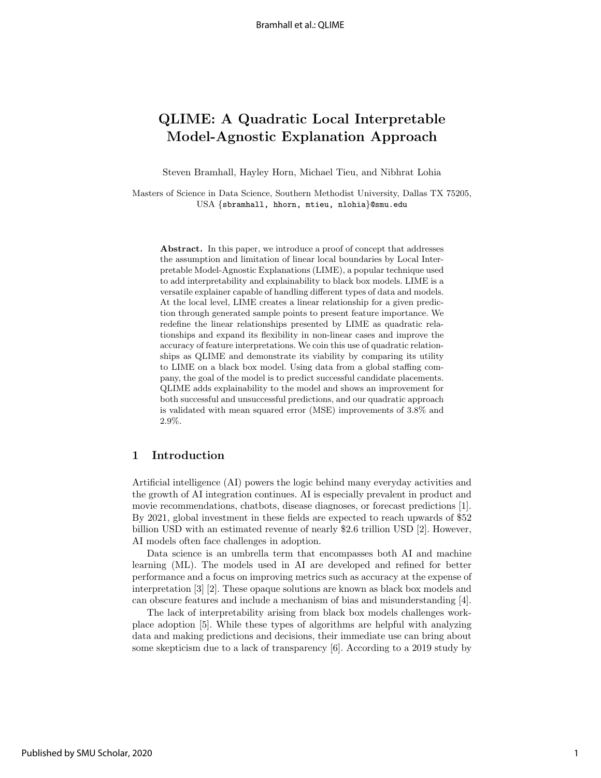# QLIME: A Quadratic Local Interpretable Model-Agnostic Explanation Approach

Steven Bramhall, Hayley Horn, Michael Tieu, and Nibhrat Lohia

Masters of Science in Data Science, Southern Methodist University, Dallas TX 75205, USA {sbramhall, hhorn, mtieu, nlohia}@smu.edu

Abstract. In this paper, we introduce a proof of concept that addresses the assumption and limitation of linear local boundaries by Local Interpretable Model-Agnostic Explanations (LIME), a popular technique used to add interpretability and explainability to black box models. LIME is a versatile explainer capable of handling different types of data and models. At the local level, LIME creates a linear relationship for a given prediction through generated sample points to present feature importance. We redefine the linear relationships presented by LIME as quadratic relationships and expand its flexibility in non-linear cases and improve the accuracy of feature interpretations. We coin this use of quadratic relationships as QLIME and demonstrate its viability by comparing its utility to LIME on a black box model. Using data from a global staffing company, the goal of the model is to predict successful candidate placements. QLIME adds explainability to the model and shows an improvement for both successful and unsuccessful predictions, and our quadratic approach is validated with mean squared error (MSE) improvements of 3.8% and 2.9%.

#### 1 Introduction

Artificial intelligence (AI) powers the logic behind many everyday activities and the growth of AI integration continues. AI is especially prevalent in product and movie recommendations, chatbots, disease diagnoses, or forecast predictions [1]. By 2021, global investment in these fields are expected to reach upwards of \$52 billion USD with an estimated revenue of nearly \$2.6 trillion USD [2]. However, AI models often face challenges in adoption.

Data science is an umbrella term that encompasses both AI and machine learning (ML). The models used in AI are developed and refined for better performance and a focus on improving metrics such as accuracy at the expense of interpretation [3] [2]. These opaque solutions are known as black box models and can obscure features and include a mechanism of bias and misunderstanding [4].

The lack of interpretability arising from black box models challenges workplace adoption [5]. While these types of algorithms are helpful with analyzing data and making predictions and decisions, their immediate use can bring about some skepticism due to a lack of transparency [6]. According to a 2019 study by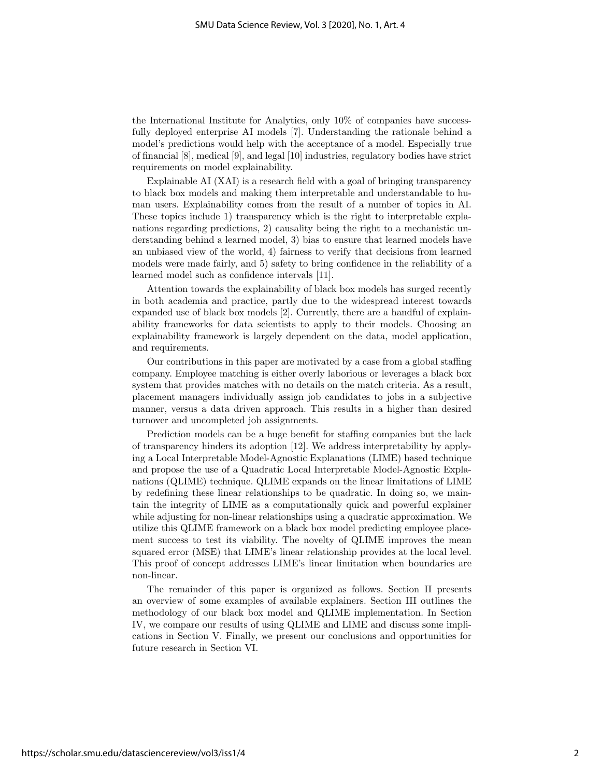the International Institute for Analytics, only 10% of companies have successfully deployed enterprise AI models [7]. Understanding the rationale behind a model's predictions would help with the acceptance of a model. Especially true of financial [8], medical [9], and legal [10] industries, regulatory bodies have strict requirements on model explainability.

Explainable AI (XAI) is a research field with a goal of bringing transparency to black box models and making them interpretable and understandable to human users. Explainability comes from the result of a number of topics in AI. These topics include 1) transparency which is the right to interpretable explanations regarding predictions, 2) causality being the right to a mechanistic understanding behind a learned model, 3) bias to ensure that learned models have an unbiased view of the world, 4) fairness to verify that decisions from learned models were made fairly, and 5) safety to bring confidence in the reliability of a learned model such as confidence intervals [11].

Attention towards the explainability of black box models has surged recently in both academia and practice, partly due to the widespread interest towards expanded use of black box models [2]. Currently, there are a handful of explainability frameworks for data scientists to apply to their models. Choosing an explainability framework is largely dependent on the data, model application, and requirements.

Our contributions in this paper are motivated by a case from a global staffing company. Employee matching is either overly laborious or leverages a black box system that provides matches with no details on the match criteria. As a result, placement managers individually assign job candidates to jobs in a subjective manner, versus a data driven approach. This results in a higher than desired turnover and uncompleted job assignments.

Prediction models can be a huge benefit for staffing companies but the lack of transparency hinders its adoption [12]. We address interpretability by applying a Local Interpretable Model-Agnostic Explanations (LIME) based technique and propose the use of a Quadratic Local Interpretable Model-Agnostic Explanations (QLIME) technique. QLIME expands on the linear limitations of LIME by redefining these linear relationships to be quadratic. In doing so, we maintain the integrity of LIME as a computationally quick and powerful explainer while adjusting for non-linear relationships using a quadratic approximation. We utilize this QLIME framework on a black box model predicting employee placement success to test its viability. The novelty of QLIME improves the mean squared error (MSE) that LIME's linear relationship provides at the local level. This proof of concept addresses LIME's linear limitation when boundaries are non-linear.

The remainder of this paper is organized as follows. Section II presents an overview of some examples of available explainers. Section III outlines the methodology of our black box model and QLIME implementation. In Section IV, we compare our results of using QLIME and LIME and discuss some implications in Section V. Finally, we present our conclusions and opportunities for future research in Section VI.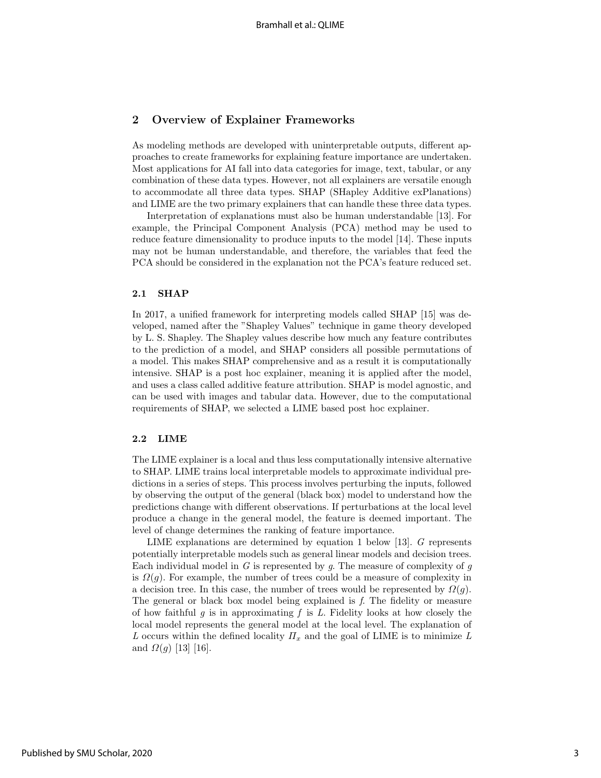# 2 Overview of Explainer Frameworks

As modeling methods are developed with uninterpretable outputs, different approaches to create frameworks for explaining feature importance are undertaken. Most applications for AI fall into data categories for image, text, tabular, or any combination of these data types. However, not all explainers are versatile enough to accommodate all three data types. SHAP (SHapley Additive exPlanations) and LIME are the two primary explainers that can handle these three data types.

Interpretation of explanations must also be human understandable [13]. For example, the Principal Component Analysis (PCA) method may be used to reduce feature dimensionality to produce inputs to the model [14]. These inputs may not be human understandable, and therefore, the variables that feed the PCA should be considered in the explanation not the PCA's feature reduced set.

#### 2.1 SHAP

In 2017, a unified framework for interpreting models called SHAP [15] was developed, named after the "Shapley Values" technique in game theory developed by L. S. Shapley. The Shapley values describe how much any feature contributes to the prediction of a model, and SHAP considers all possible permutations of a model. This makes SHAP comprehensive and as a result it is computationally intensive. SHAP is a post hoc explainer, meaning it is applied after the model, and uses a class called additive feature attribution. SHAP is model agnostic, and can be used with images and tabular data. However, due to the computational requirements of SHAP, we selected a LIME based post hoc explainer.

#### 2.2 LIME

The LIME explainer is a local and thus less computationally intensive alternative to SHAP. LIME trains local interpretable models to approximate individual predictions in a series of steps. This process involves perturbing the inputs, followed by observing the output of the general (black box) model to understand how the predictions change with different observations. If perturbations at the local level produce a change in the general model, the feature is deemed important. The level of change determines the ranking of feature importance.

LIME explanations are determined by equation 1 below [13]. G represents potentially interpretable models such as general linear models and decision trees. Each individual model in  $G$  is represented by  $g$ . The measure of complexity of  $g$ is  $\Omega(q)$ . For example, the number of trees could be a measure of complexity in a decision tree. In this case, the number of trees would be represented by  $\Omega(g)$ . The general or black box model being explained is f. The fidelity or measure of how faithful g is in approximating f is L. Fidelity looks at how closely the local model represents the general model at the local level. The explanation of L occurs within the defined locality  $\Pi_x$  and the goal of LIME is to minimize L and  $Ω(g)$  [13] [16].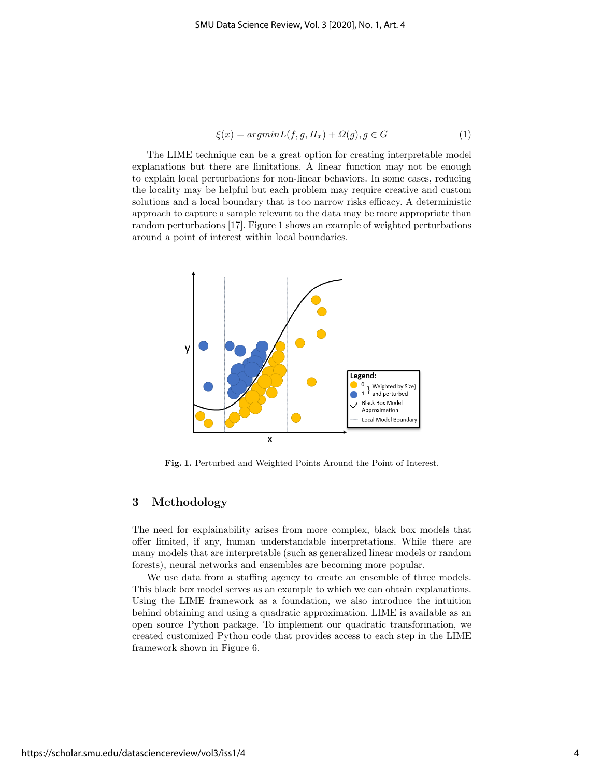$$
\xi(x) = argmin L(f, g, \Pi_x) + \Omega(g), g \in G \tag{1}
$$

The LIME technique can be a great option for creating interpretable model explanations but there are limitations. A linear function may not be enough to explain local perturbations for non-linear behaviors. In some cases, reducing the locality may be helpful but each problem may require creative and custom solutions and a local boundary that is too narrow risks efficacy. A deterministic approach to capture a sample relevant to the data may be more appropriate than random perturbations [17]. Figure 1 shows an example of weighted perturbations around a point of interest within local boundaries.



Fig. 1. Perturbed and Weighted Points Around the Point of Interest.

# 3 Methodology

The need for explainability arises from more complex, black box models that offer limited, if any, human understandable interpretations. While there are many models that are interpretable (such as generalized linear models or random forests), neural networks and ensembles are becoming more popular.

We use data from a staffing agency to create an ensemble of three models. This black box model serves as an example to which we can obtain explanations. Using the LIME framework as a foundation, we also introduce the intuition behind obtaining and using a quadratic approximation. LIME is available as an open source Python package. To implement our quadratic transformation, we created customized Python code that provides access to each step in the LIME framework shown in Figure 6.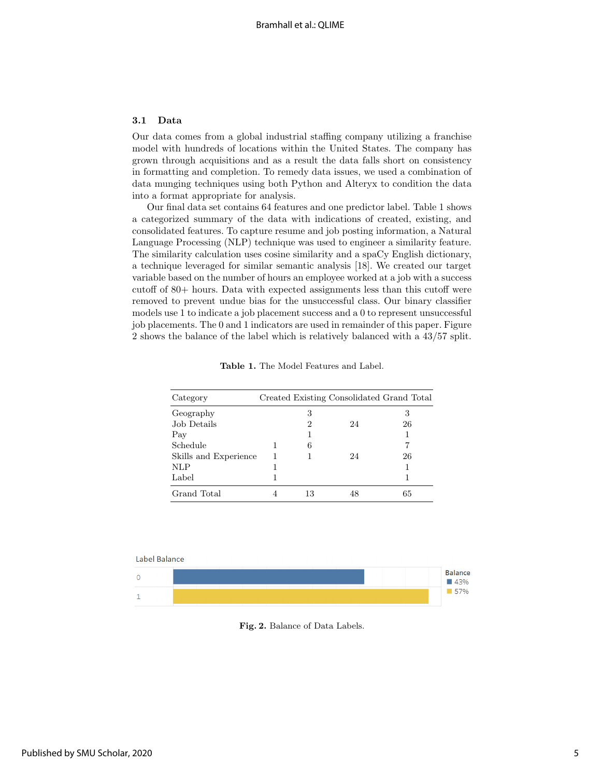#### 3.1 Data

Our data comes from a global industrial staffing company utilizing a franchise model with hundreds of locations within the United States. The company has grown through acquisitions and as a result the data falls short on consistency in formatting and completion. To remedy data issues, we used a combination of data munging techniques using both Python and Alteryx to condition the data into a format appropriate for analysis.

Our final data set contains 64 features and one predictor label. Table 1 shows a categorized summary of the data with indications of created, existing, and consolidated features. To capture resume and job posting information, a Natural Language Processing (NLP) technique was used to engineer a similarity feature. The similarity calculation uses cosine similarity and a spaCy English dictionary, a technique leveraged for similar semantic analysis [18]. We created our target variable based on the number of hours an employee worked at a job with a success cutoff of 80+ hours. Data with expected assignments less than this cutoff were removed to prevent undue bias for the unsuccessful class. Our binary classifier models use 1 to indicate a job placement success and a 0 to represent unsuccessful job placements. The 0 and 1 indicators are used in remainder of this paper. Figure 2 shows the balance of the label which is relatively balanced with a 43/57 split.

| Category              |    |    | Created Existing Consolidated Grand Total |
|-----------------------|----|----|-------------------------------------------|
| Geography             | 3  |    | 3                                         |
| Job Details           | 2  | 24 | 26                                        |
| Pay                   |    |    |                                           |
| Schedule              | 6  |    |                                           |
| Skills and Experience |    | 24 | 26                                        |
| <b>NLP</b>            |    |    |                                           |
| Label                 |    |    |                                           |
| Grand Total           | 13 | 48 | 65                                        |

Table 1. The Model Features and Label.



Fig. 2. Balance of Data Labels.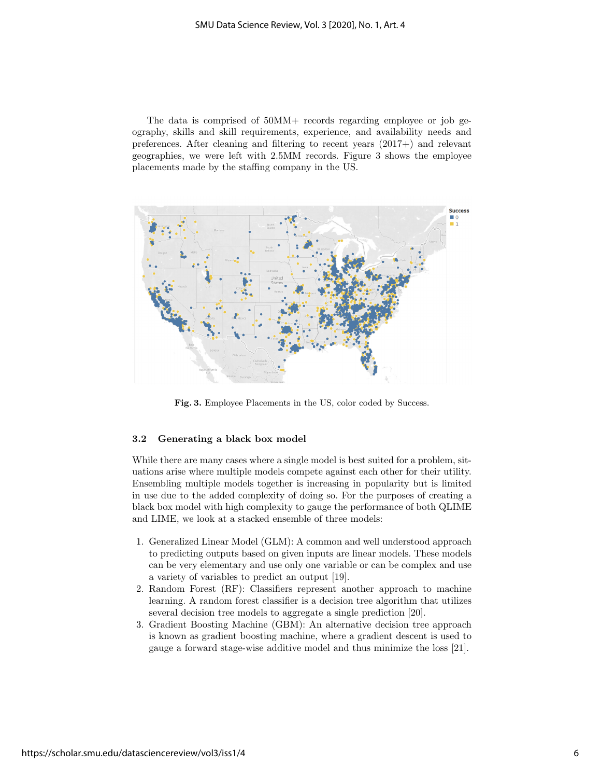The data is comprised of 50MM+ records regarding employee or job geography, skills and skill requirements, experience, and availability needs and preferences. After cleaning and filtering to recent years (2017+) and relevant geographies, we were left with 2.5MM records. Figure 3 shows the employee placements made by the staffing company in the US.



Fig. 3. Employee Placements in the US, color coded by Success.

#### 3.2 Generating a black box model

While there are many cases where a single model is best suited for a problem, situations arise where multiple models compete against each other for their utility. Ensembling multiple models together is increasing in popularity but is limited in use due to the added complexity of doing so. For the purposes of creating a black box model with high complexity to gauge the performance of both QLIME and LIME, we look at a stacked ensemble of three models:

- 1. Generalized Linear Model (GLM): A common and well understood approach to predicting outputs based on given inputs are linear models. These models can be very elementary and use only one variable or can be complex and use a variety of variables to predict an output [19].
- 2. Random Forest (RF): Classifiers represent another approach to machine learning. A random forest classifier is a decision tree algorithm that utilizes several decision tree models to aggregate a single prediction [20].
- 3. Gradient Boosting Machine (GBM): An alternative decision tree approach is known as gradient boosting machine, where a gradient descent is used to gauge a forward stage-wise additive model and thus minimize the loss [21].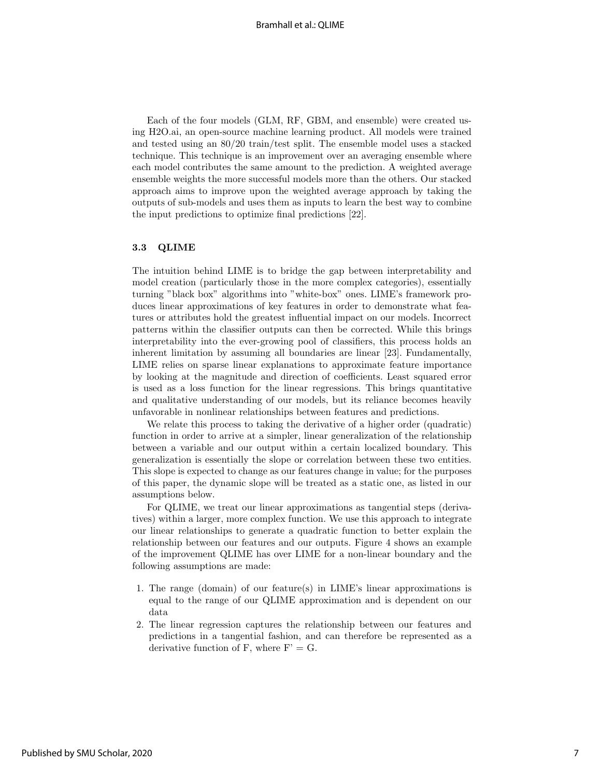Each of the four models (GLM, RF, GBM, and ensemble) were created using H2O.ai, an open-source machine learning product. All models were trained and tested using an 80/20 train/test split. The ensemble model uses a stacked technique. This technique is an improvement over an averaging ensemble where each model contributes the same amount to the prediction. A weighted average ensemble weights the more successful models more than the others. Our stacked approach aims to improve upon the weighted average approach by taking the outputs of sub-models and uses them as inputs to learn the best way to combine the input predictions to optimize final predictions [22].

#### 3.3 QLIME

The intuition behind LIME is to bridge the gap between interpretability and model creation (particularly those in the more complex categories), essentially turning "black box" algorithms into "white-box" ones. LIME's framework produces linear approximations of key features in order to demonstrate what features or attributes hold the greatest influential impact on our models. Incorrect patterns within the classifier outputs can then be corrected. While this brings interpretability into the ever-growing pool of classifiers, this process holds an inherent limitation by assuming all boundaries are linear [23]. Fundamentally, LIME relies on sparse linear explanations to approximate feature importance by looking at the magnitude and direction of coefficients. Least squared error is used as a loss function for the linear regressions. This brings quantitative and qualitative understanding of our models, but its reliance becomes heavily unfavorable in nonlinear relationships between features and predictions.

We relate this process to taking the derivative of a higher order (quadratic) function in order to arrive at a simpler, linear generalization of the relationship between a variable and our output within a certain localized boundary. This generalization is essentially the slope or correlation between these two entities. This slope is expected to change as our features change in value; for the purposes of this paper, the dynamic slope will be treated as a static one, as listed in our assumptions below.

For QLIME, we treat our linear approximations as tangential steps (derivatives) within a larger, more complex function. We use this approach to integrate our linear relationships to generate a quadratic function to better explain the relationship between our features and our outputs. Figure 4 shows an example of the improvement QLIME has over LIME for a non-linear boundary and the following assumptions are made:

- 1. The range (domain) of our feature(s) in LIME's linear approximations is equal to the range of our QLIME approximation and is dependent on our data
- 2. The linear regression captures the relationship between our features and predictions in a tangential fashion, and can therefore be represented as a derivative function of F, where  $F' = G$ .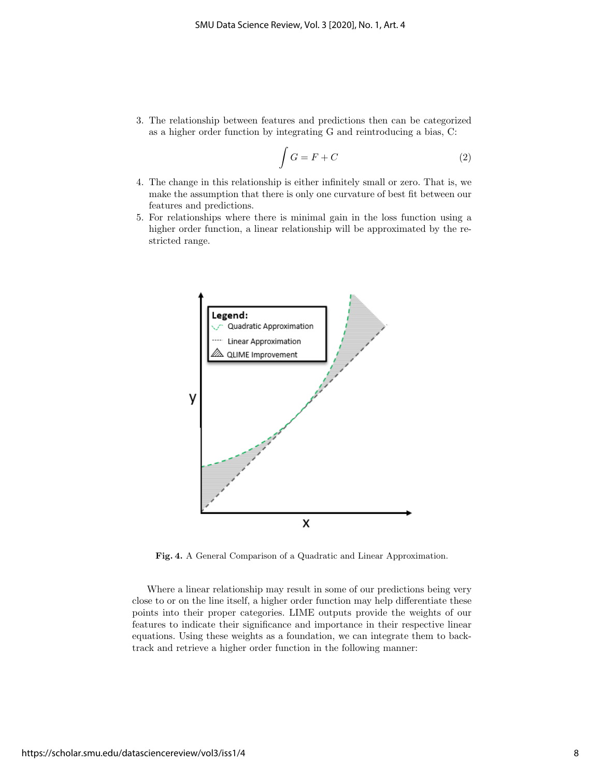3. The relationship between features and predictions then can be categorized as a higher order function by integrating G and reintroducing a bias, C:

$$
\int G = F + C \tag{2}
$$

- 4. The change in this relationship is either infinitely small or zero. That is, we make the assumption that there is only one curvature of best fit between our features and predictions.
- 5. For relationships where there is minimal gain in the loss function using a higher order function, a linear relationship will be approximated by the restricted range.



Fig. 4. A General Comparison of a Quadratic and Linear Approximation.

Where a linear relationship may result in some of our predictions being very close to or on the line itself, a higher order function may help differentiate these points into their proper categories. LIME outputs provide the weights of our features to indicate their significance and importance in their respective linear equations. Using these weights as a foundation, we can integrate them to backtrack and retrieve a higher order function in the following manner: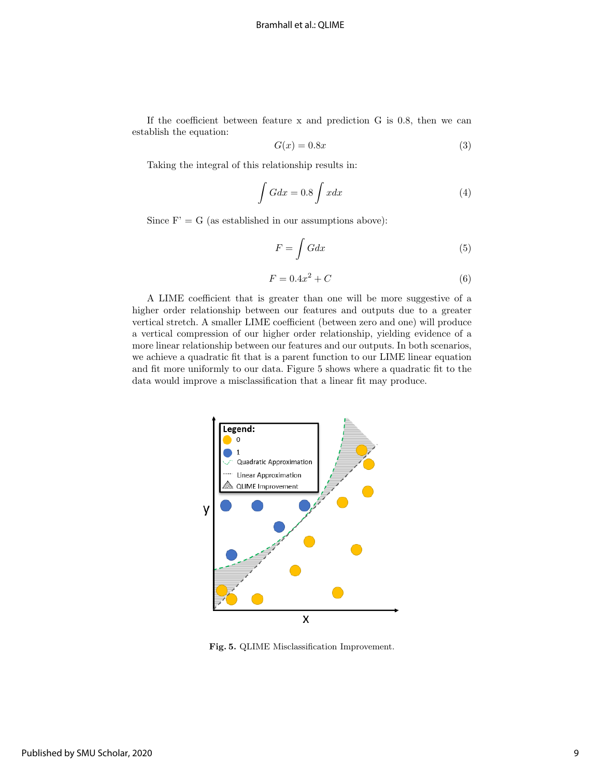If the coefficient between feature x and prediction G is 0.8, then we can establish the equation:

$$
G(x) = 0.8x\tag{3}
$$

Taking the integral of this relationship results in:

$$
\int Gdx = 0.8 \int xdx \tag{4}
$$

Since  $F' = G$  (as established in our assumptions above):

$$
F = \int G dx \tag{5}
$$

$$
F = 0.4x^2 + C \tag{6}
$$

A LIME coefficient that is greater than one will be more suggestive of a higher order relationship between our features and outputs due to a greater vertical stretch. A smaller LIME coefficient (between zero and one) will produce a vertical compression of our higher order relationship, yielding evidence of a more linear relationship between our features and our outputs. In both scenarios, we achieve a quadratic fit that is a parent function to our LIME linear equation and fit more uniformly to our data. Figure 5 shows where a quadratic fit to the data would improve a misclassification that a linear fit may produce.



Fig. 5. QLIME Misclassification Improvement.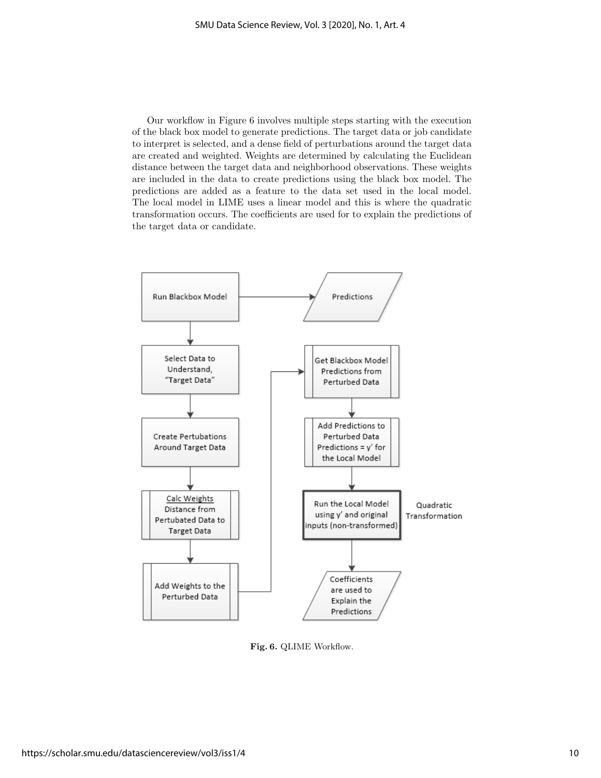Our workflow in Figure 6 involves multiple steps starting with the execution of the black box model to generate predictions. The target data or job candidate to interpret is selected, and a dense field of perturbations around the target data are created and weighted. Weights are determined by calculating the Euclidean distance between the target data and neighborhood observations. These weights are included in the data to create predictions using the black box model. The predictions are added as a feature to the data set used in the local model. The local model in LIME uses a linear model and this is where the quadratic transformation occurs. The coefficients are used for to explain the predictions of the target data or candidate.



Fig. 6. QLIME Workflow.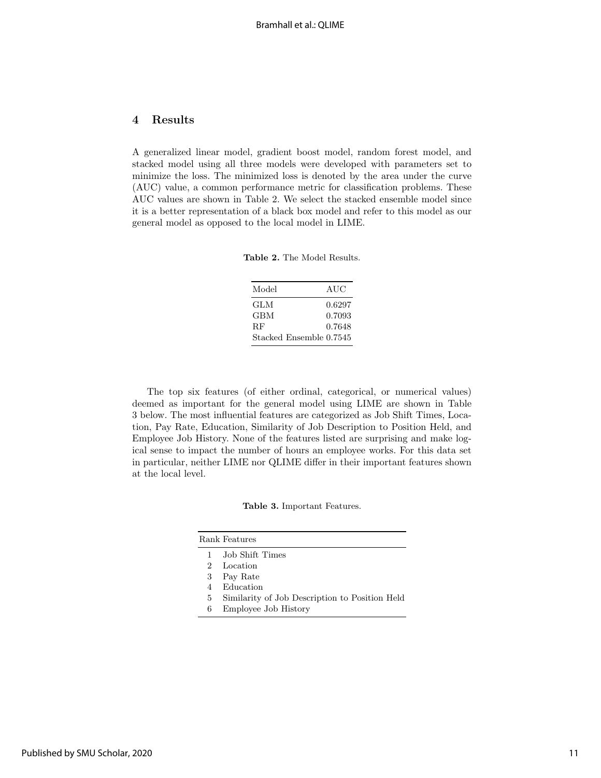# 4 Results

A generalized linear model, gradient boost model, random forest model, and stacked model using all three models were developed with parameters set to minimize the loss. The minimized loss is denoted by the area under the curve (AUC) value, a common performance metric for classification problems. These AUC values are shown in Table 2. We select the stacked ensemble model since it is a better representation of a black box model and refer to this model as our general model as opposed to the local model in LIME.

Table 2. The Model Results.

| Model                   | AUC    |
|-------------------------|--------|
| GLM                     | 0.6297 |
| GBM                     | 0.7093 |
| <b>RF</b>               | 0.7648 |
| Stacked Ensemble 0.7545 |        |

The top six features (of either ordinal, categorical, or numerical values) deemed as important for the general model using LIME are shown in Table 3 below. The most influential features are categorized as Job Shift Times, Location, Pay Rate, Education, Similarity of Job Description to Position Held, and Employee Job History. None of the features listed are surprising and make logical sense to impact the number of hours an employee works. For this data set in particular, neither LIME nor QLIME differ in their important features shown at the local level.

| Table 3. Important Features. |
|------------------------------|
|                              |

|    | Rank Features                                  |
|----|------------------------------------------------|
|    | 1 Job Shift Times                              |
| 2. | Location                                       |
|    | 3 Pay Rate                                     |
| 4  | Education                                      |
| 5. | Similarity of Job Description to Position Held |

6 Employee Job History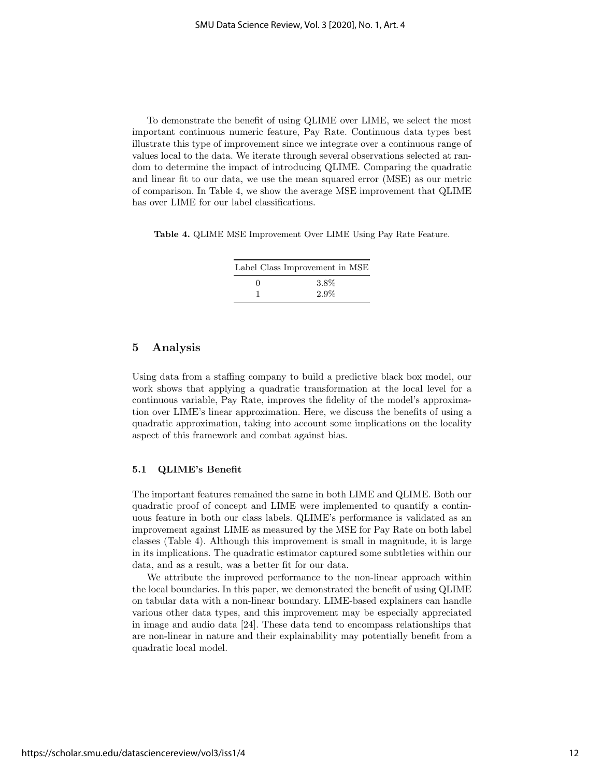To demonstrate the benefit of using QLIME over LIME, we select the most important continuous numeric feature, Pay Rate. Continuous data types best illustrate this type of improvement since we integrate over a continuous range of values local to the data. We iterate through several observations selected at random to determine the impact of introducing QLIME. Comparing the quadratic and linear fit to our data, we use the mean squared error (MSE) as our metric of comparison. In Table 4, we show the average MSE improvement that QLIME has over LIME for our label classifications.

Table 4. QLIME MSE Improvement Over LIME Using Pay Rate Feature.

|            | Label Class Improvement in MSE |  |
|------------|--------------------------------|--|
| $^{\circ}$ | 3.8%                           |  |
|            | $2.9\%$                        |  |

# 5 Analysis

Using data from a staffing company to build a predictive black box model, our work shows that applying a quadratic transformation at the local level for a continuous variable, Pay Rate, improves the fidelity of the model's approximation over LIME's linear approximation. Here, we discuss the benefits of using a quadratic approximation, taking into account some implications on the locality aspect of this framework and combat against bias.

#### 5.1 QLIME's Benefit

The important features remained the same in both LIME and QLIME. Both our quadratic proof of concept and LIME were implemented to quantify a continuous feature in both our class labels. QLIME's performance is validated as an improvement against LIME as measured by the MSE for Pay Rate on both label classes (Table 4). Although this improvement is small in magnitude, it is large in its implications. The quadratic estimator captured some subtleties within our data, and as a result, was a better fit for our data.

We attribute the improved performance to the non-linear approach within the local boundaries. In this paper, we demonstrated the benefit of using QLIME on tabular data with a non-linear boundary. LIME-based explainers can handle various other data types, and this improvement may be especially appreciated in image and audio data [24]. These data tend to encompass relationships that are non-linear in nature and their explainability may potentially benefit from a quadratic local model.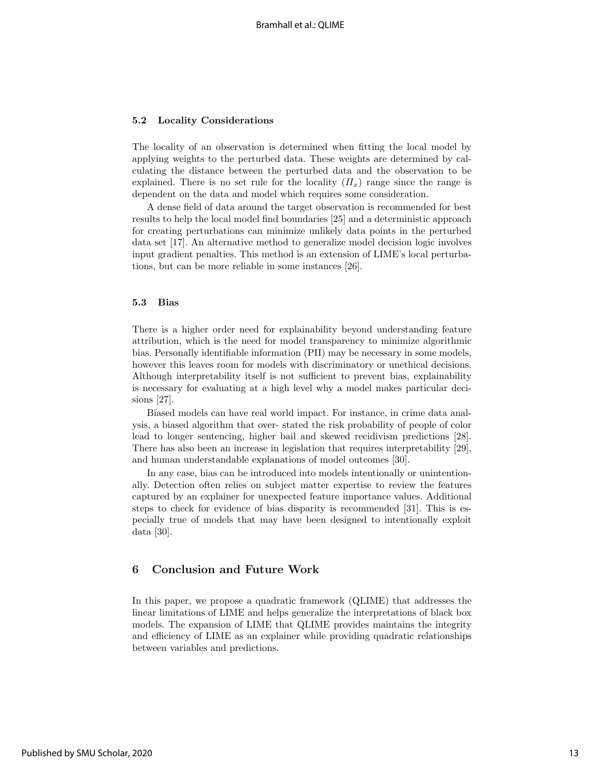#### 5.2 Locality Considerations

The locality of an observation is determined when fitting the local model by applying weights to the perturbed data. These weights are determined by calculating the distance between the perturbed data and the observation to be explained. There is no set rule for the locality  $(\Pi_x)$  range since the range is dependent on the data and model which requires some consideration.

A dense field of data around the target observation is recommended for best results to help the local model find boundaries [25] and a deterministic approach for creating perturbations can minimize unlikely data points in the perturbed data set [17]. An alternative method to generalize model decision logic involves input gradient penalties. This method is an extension of LIME's local perturbations, but can be more reliable in some instances [26].

#### 5.3 Bias

There is a higher order need for explainability beyond understanding feature attribution, which is the need for model transparency to minimize algorithmic bias. Personally identifiable information (PII) may be necessary in some models, however this leaves room for models with discriminatory or unethical decisions. Although interpretability itself is not sufficient to prevent bias, explainability is necessary for evaluating at a high level why a model makes particular decisions [27].

Biased models can have real world impact. For instance, in crime data analysis, a biased algorithm that over- stated the risk probability of people of color lead to longer sentencing, higher bail and skewed recidivism predictions [28]. There has also been an increase in legislation that requires interpretability [29], and human understandable explanations of model outcomes [30].

In any case, bias can be introduced into models intentionally or unintentionally. Detection often relies on subject matter expertise to review the features captured by an explainer for unexpected feature importance values. Additional steps to check for evidence of bias disparity is recommended [31]. This is especially true of models that may have been designed to intentionally exploit data [30].

# 6 Conclusion and Future Work

In this paper, we propose a quadratic framework (QLIME) that addresses the linear limitations of LIME and helps generalize the interpretations of black box models. The expansion of LIME that QLIME provides maintains the integrity and efficiency of LIME as an explainer while providing quadratic relationships between variables and predictions.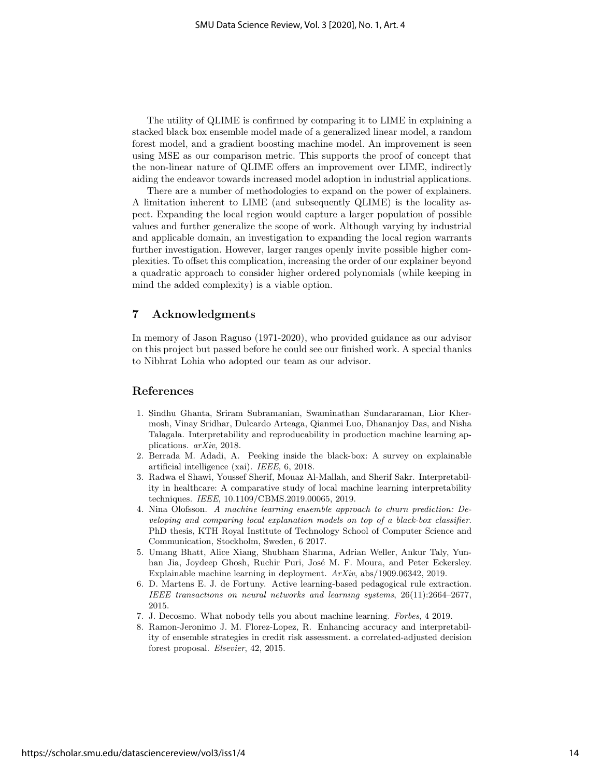The utility of QLIME is confirmed by comparing it to LIME in explaining a stacked black box ensemble model made of a generalized linear model, a random forest model, and a gradient boosting machine model. An improvement is seen using MSE as our comparison metric. This supports the proof of concept that the non-linear nature of QLIME offers an improvement over LIME, indirectly aiding the endeavor towards increased model adoption in industrial applications.

There are a number of methodologies to expand on the power of explainers. A limitation inherent to LIME (and subsequently QLIME) is the locality aspect. Expanding the local region would capture a larger population of possible values and further generalize the scope of work. Although varying by industrial and applicable domain, an investigation to expanding the local region warrants further investigation. However, larger ranges openly invite possible higher complexities. To offset this complication, increasing the order of our explainer beyond a quadratic approach to consider higher ordered polynomials (while keeping in mind the added complexity) is a viable option.

# 7 Acknowledgments

In memory of Jason Raguso (1971-2020), who provided guidance as our advisor on this project but passed before he could see our finished work. A special thanks to Nibhrat Lohia who adopted our team as our advisor.

### References

- 1. Sindhu Ghanta, Sriram Subramanian, Swaminathan Sundararaman, Lior Khermosh, Vinay Sridhar, Dulcardo Arteaga, Qianmei Luo, Dhananjoy Das, and Nisha Talagala. Interpretability and reproducability in production machine learning applications. arXiv, 2018.
- 2. Berrada M. Adadi, A. Peeking inside the black-box: A survey on explainable artificial intelligence (xai). IEEE, 6, 2018.
- 3. Radwa el Shawi, Youssef Sherif, Mouaz Al-Mallah, and Sherif Sakr. Interpretability in healthcare: A comparative study of local machine learning interpretability techniques. IEEE, 10.1109/CBMS.2019.00065, 2019.
- 4. Nina Olofsson. A machine learning ensemble approach to churn prediction: Developing and comparing local explanation models on top of a black-box classifier. PhD thesis, KTH Royal Institute of Technology School of Computer Science and Communication, Stockholm, Sweden, 6 2017.
- 5. Umang Bhatt, Alice Xiang, Shubham Sharma, Adrian Weller, Ankur Taly, Yunhan Jia, Joydeep Ghosh, Ruchir Puri, José M. F. Moura, and Peter Eckersley. Explainable machine learning in deployment. ArXiv, abs/1909.06342, 2019.
- 6. D. Martens E. J. de Fortuny. Active learning-based pedagogical rule extraction. IEEE transactions on neural networks and learning systems, 26(11):2664–2677, 2015.
- 7. J. Decosmo. What nobody tells you about machine learning. Forbes, 4 2019.
- 8. Ramon-Jeronimo J. M. Florez-Lopez, R. Enhancing accuracy and interpretability of ensemble strategies in credit risk assessment. a correlated-adjusted decision forest proposal. Elsevier, 42, 2015.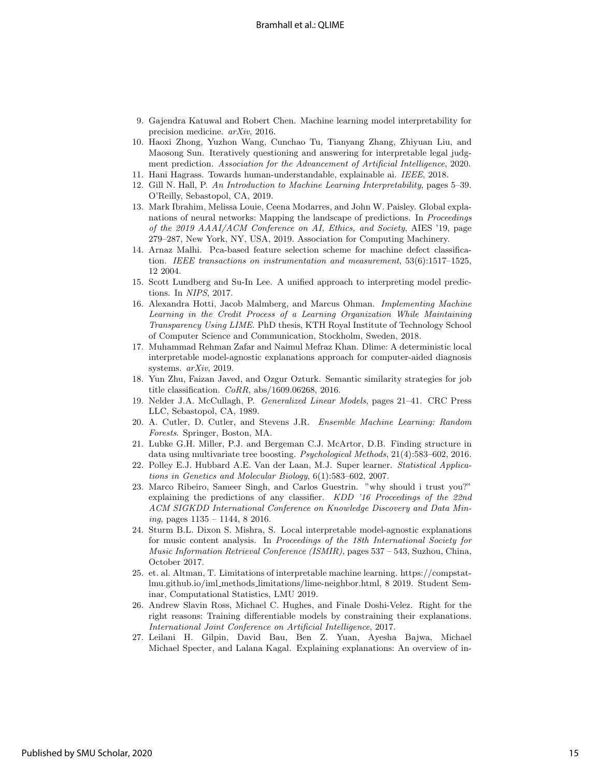- 9. Gajendra Katuwal and Robert Chen. Machine learning model interpretability for precision medicine. arXiv, 2016.
- 10. Haoxi Zhong, Yuzhon Wang, Cunchao Tu, Tianyang Zhang, Zhiyuan Liu, and Maosong Sun. Iteratively questioning and answering for interpretable legal judgment prediction. Association for the Advancement of Artificial Intelligence, 2020.
- 11. Hani Hagrass. Towards human-understandable, explainable ai. IEEE, 2018.
- 12. Gill N. Hall, P. An Introduction to Machine Learning Interpretability, pages 5–39. O'Reilly, Sebastopol, CA, 2019.
- 13. Mark Ibrahim, Melissa Louie, Ceena Modarres, and John W. Paisley. Global explanations of neural networks: Mapping the landscape of predictions. In Proceedings of the 2019 AAAI/ACM Conference on AI, Ethics, and Society, AIES '19, page 279–287, New York, NY, USA, 2019. Association for Computing Machinery.
- 14. Arnaz Malhi. Pca-based feature selection scheme for machine defect classification. IEEE transactions on instrumentation and measurement, 53(6):1517–1525, 12 2004.
- 15. Scott Lundberg and Su-In Lee. A unified approach to interpreting model predictions. In NIPS, 2017.
- 16. Alexandra Hotti, Jacob Malmberg, and Marcus Ohman. Implementing Machine Learning in the Credit Process of a Learning Organization While Maintaining Transparency Using LIME. PhD thesis, KTH Royal Institute of Technology School of Computer Science and Communication, Stockholm, Sweden, 2018.
- 17. Muhammad Rehman Zafar and Naimul Mefraz Khan. Dlime: A deterministic local interpretable model-agnostic explanations approach for computer-aided diagnosis systems. arXiv, 2019.
- 18. Yun Zhu, Faizan Javed, and Ozgur Ozturk. Semantic similarity strategies for job title classification. CoRR, abs/1609.06268, 2016.
- 19. Nelder J.A. McCullagh, P. Generalized Linear Models, pages 21–41. CRC Press LLC, Sebastopol, CA, 1989.
- 20. A. Cutler, D. Cutler, and Stevens J.R. Ensemble Machine Learning: Random Forests. Springer, Boston, MA.
- 21. Lubke G.H. Miller, P.J. and Bergeman C.J. McArtor, D.B. Finding structure in data using multivariate tree boosting. Psychological Methods, 21(4):583–602, 2016.
- 22. Polley E.J. Hubbard A.E. Van der Laan, M.J. Super learner. Statistical Applications in Genetics and Molecular Biology, 6(1):583–602, 2007.
- 23. Marco Ribeiro, Sameer Singh, and Carlos Guestrin. "why should i trust you?" explaining the predictions of any classifier. KDD '16 Proceedings of the 22nd ACM SIGKDD International Conference on Knowledge Discovery and Data Mining, pages 1135 – 1144, 8 2016.
- 24. Sturm B.L. Dixon S. Mishra, S. Local interpretable model-agnostic explanations for music content analysis. In Proceedings of the 18th International Society for Music Information Retrieval Conference (ISMIR), pages 537 – 543, Suzhou, China, October 2017.
- 25. et. al. Altman, T. Limitations of interpretable machine learning. https://compstatlmu.github.io/iml methods limitations/lime-neighbor.html, 8 2019. Student Seminar, Computational Statistics, LMU 2019.
- 26. Andrew Slavin Ross, Michael C. Hughes, and Finale Doshi-Velez. Right for the right reasons: Training differentiable models by constraining their explanations. International Joint Conference on Artificial Intelligence, 2017.
- 27. Leilani H. Gilpin, David Bau, Ben Z. Yuan, Ayesha Bajwa, Michael Michael Specter, and Lalana Kagal. Explaining explanations: An overview of in-